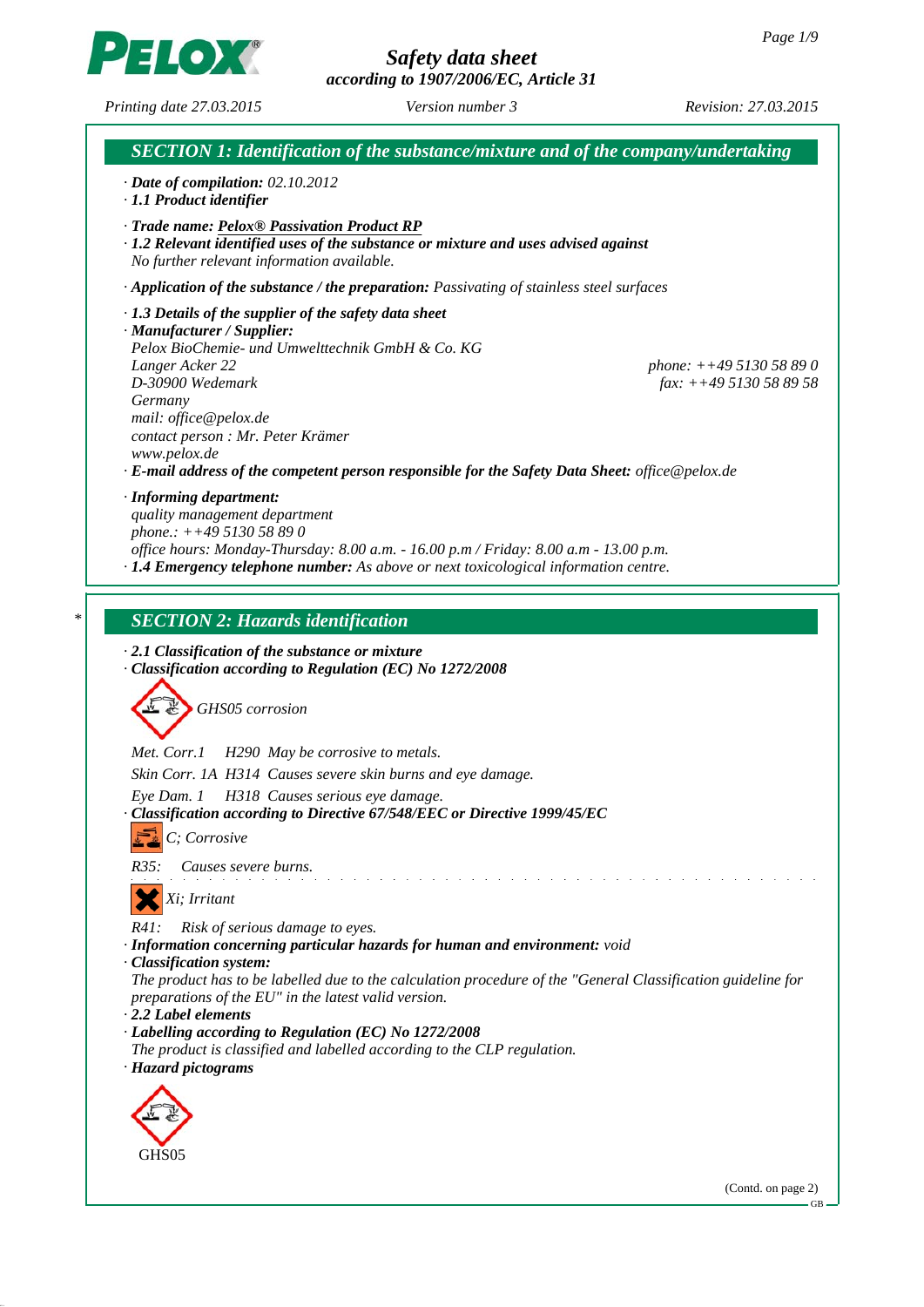*according to 1907/2006/EC, Article 31*



*Printing date 27.03.2015 Revision: 27.03.2015 Version number 3*



GB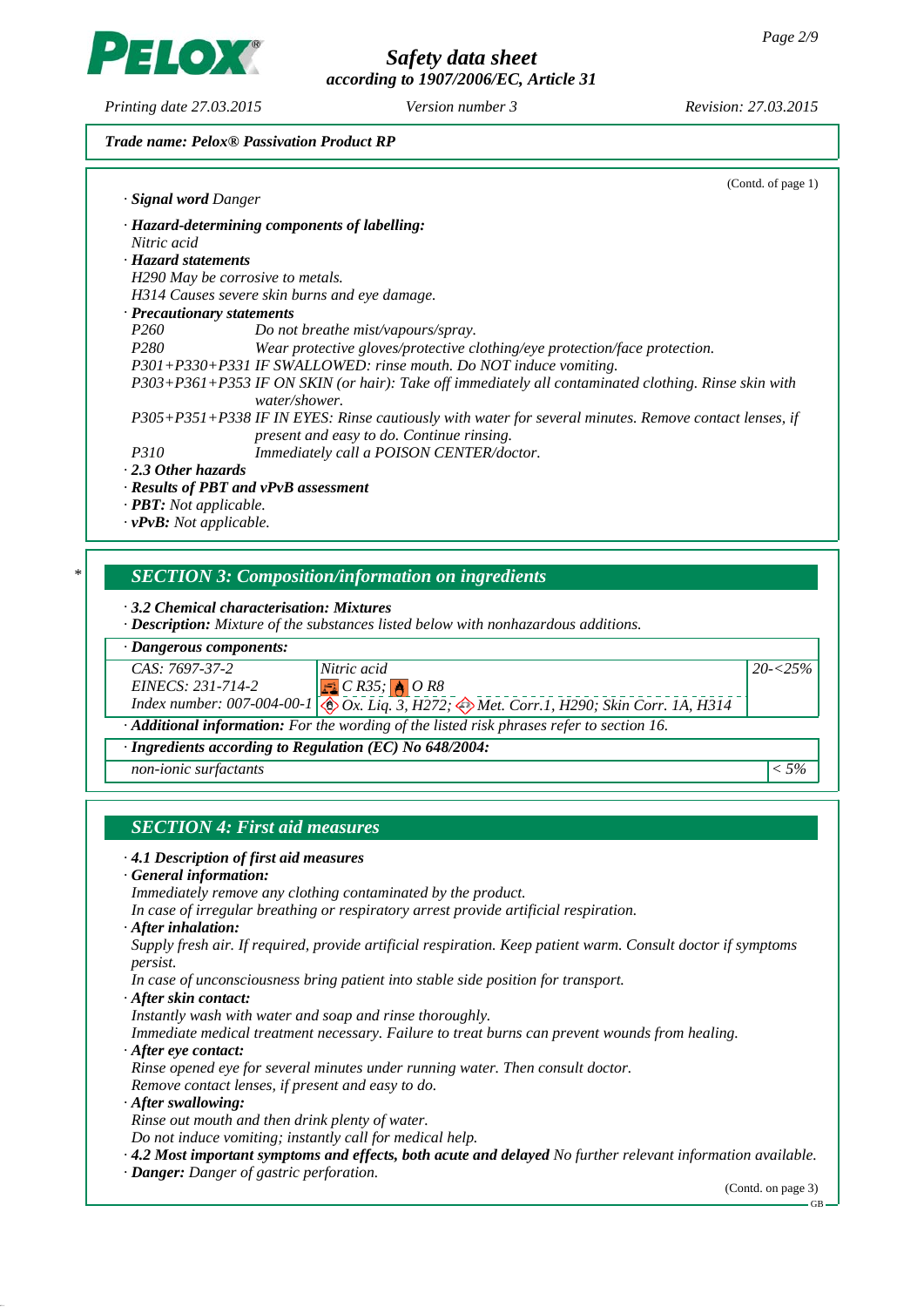*Safety data sheet according to 1907/2006/EC, Article 31*

*Printing date 27.03.2015 Revision: 27.03.2015 Version number 3*

**LOX** 

#### *Trade name: Pelox® Passivation Product RP*

|                                     | (Contd. of page 1)                                                                                                                                 |
|-------------------------------------|----------------------------------------------------------------------------------------------------------------------------------------------------|
| · <b>Signal word Danger</b>         |                                                                                                                                                    |
|                                     | · Hazard-determining components of labelling:                                                                                                      |
| Nitric acid                         |                                                                                                                                                    |
| · Hazard statements                 |                                                                                                                                                    |
|                                     | H290 May be corrosive to metals.                                                                                                                   |
|                                     | H314 Causes severe skin burns and eye damage.                                                                                                      |
| $\cdot$ Precautionary statements    |                                                                                                                                                    |
| P <sub>260</sub>                    | Do not breathe mist/vapours/spray.                                                                                                                 |
| <i>P280</i>                         | Wear protective gloves/protective clothing/eye protection/face protection.                                                                         |
|                                     | P301+P330+P331 IF SWALLOWED: rinse mouth. Do NOT induce vomiting.                                                                                  |
|                                     | P303+P361+P353 IF ON SKIN (or hair): Take off immediately all contaminated clothing. Rinse skin with<br>water/shower.                              |
|                                     | P305+P351+P338 IF IN EYES: Rinse cautiously with water for several minutes. Remove contact lenses, if<br>present and easy to do. Continue rinsing. |
| <i>P310</i>                         | Immediately call a POISON CENTER/doctor.                                                                                                           |
| . 2.3 Other hazards                 |                                                                                                                                                    |
|                                     | · Results of PBT and vPvB assessment                                                                                                               |
| $\cdot$ <b>PBT:</b> Not applicable. |                                                                                                                                                    |
| $\cdot v$ PvB: Not applicable.      |                                                                                                                                                    |

# *\* SECTION 3: Composition/information on ingredients*

*· 3.2 Chemical characterisation: Mixtures*

*· Description: Mixture of the substances listed below with nonhazardous additions.*

|  | · Dangerous components: |
|--|-------------------------|
|--|-------------------------|

| CAS: 7697-37-2                                                                                         | Nitric acid                                                                                                           | $20 - 5\%$ |  |
|--------------------------------------------------------------------------------------------------------|-----------------------------------------------------------------------------------------------------------------------|------------|--|
| EINECS: 231-714-2                                                                                      | $\sqrt{\mathbf{E} C}$ $C$ $R35$ ; $\sqrt{\mathbf{A} C}$ $R8$                                                          |            |  |
|                                                                                                        | Index number: 007-004-00-1 $\bigotimes_{x} C_x$ Liq. 3, H272; $\bigotimes_{x} Met.$ Corr.1, H290; Skin Corr. 1A, H314 |            |  |
| $\cdot$ <b>Additional information:</b> For the wording of the listed risk phrases refer to section 16. |                                                                                                                       |            |  |
| $\cdot$ Ingredients according to Regulation (EC) No 648/2004:                                          |                                                                                                                       |            |  |

*non-ionic surfactants < 5%*

# *SECTION 4: First aid measures*

#### *· 4.1 Description of first aid measures*

#### *· General information:*

*Immediately remove any clothing contaminated by the product.*

*In case of irregular breathing or respiratory arrest provide artificial respiration.*

*· After inhalation:*

*Supply fresh air. If required, provide artificial respiration. Keep patient warm. Consult doctor if symptoms persist.*

*In case of unconsciousness bring patient into stable side position for transport.*

*· After skin contact:*

*Instantly wash with water and soap and rinse thoroughly.*

*Immediate medical treatment necessary. Failure to treat burns can prevent wounds from healing.*

*· After eye contact:*

*Rinse opened eye for several minutes under running water. Then consult doctor.*

*Remove contact lenses, if present and easy to do.*

*· After swallowing:*

*Rinse out mouth and then drink plenty of water.*

*Do not induce vomiting; instantly call for medical help.*

*· 4.2 Most important symptoms and effects, both acute and delayed No further relevant information available.*

*· Danger: Danger of gastric perforation.*

(Contd. on page 3)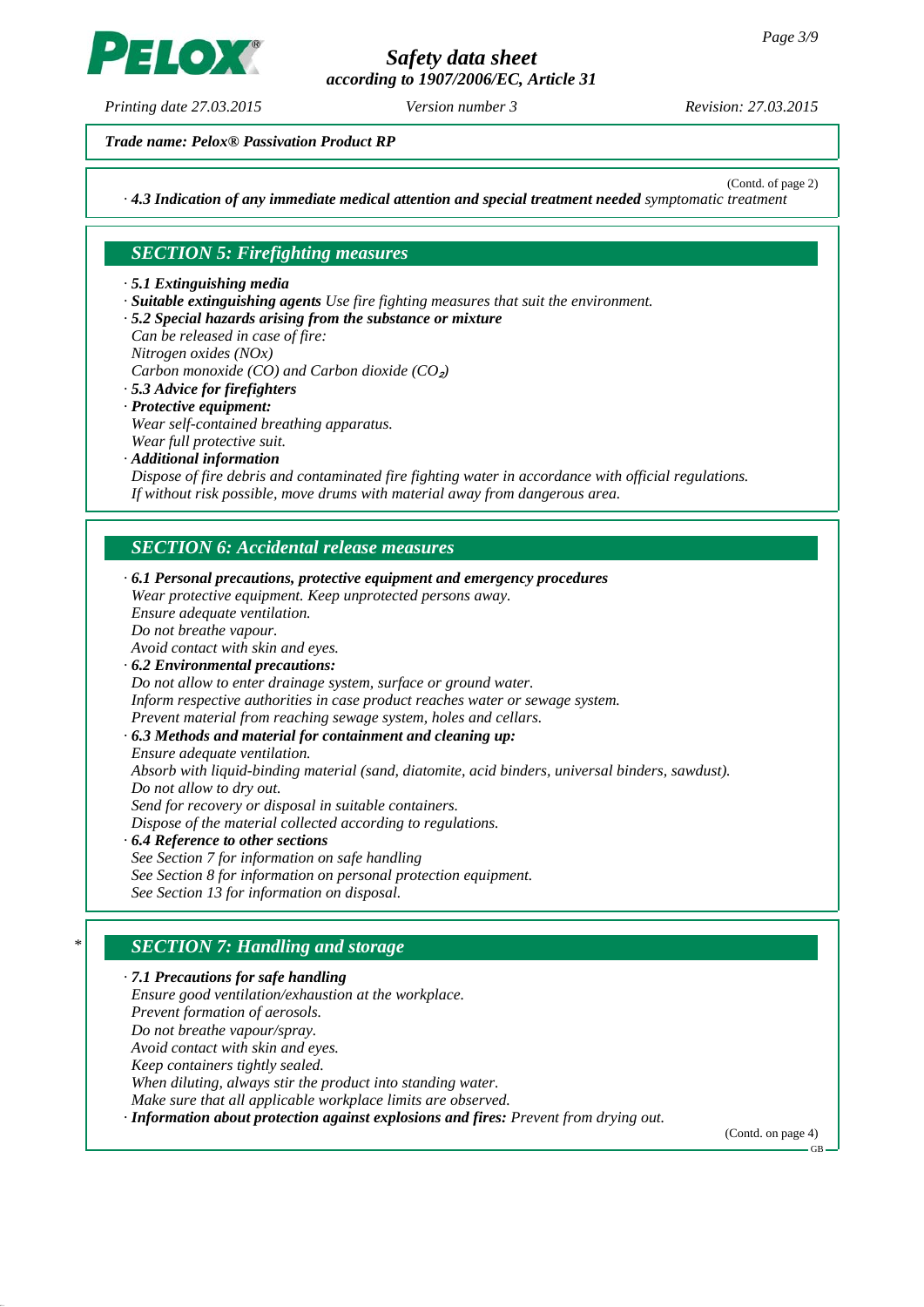*according to 1907/2006/EC, Article 31*

*Printing date 27.03.2015 Revision: 27.03.2015 Version number 3*

**LO)** 

*Trade name: Pelox® Passivation Product RP*

(Contd. of page 2)

*· 4.3 Indication of any immediate medical attention and special treatment needed symptomatic treatment*

# *SECTION 5: Firefighting measures*

*· 5.1 Extinguishing media*

- *· Suitable extinguishing agents Use fire fighting measures that suit the environment.*
- *· 5.2 Special hazards arising from the substance or mixture*
- *Can be released in case of fire:*
- *Nitrogen oxides (NOx)*

*Carbon monoxide (CO) and Carbon dioxide (CO*₂*)*

- *· 5.3 Advice for firefighters*
- *· Protective equipment: Wear self-contained breathing apparatus. Wear full protective suit.*
- *· Additional information Dispose of fire debris and contaminated fire fighting water in accordance with official regulations. If without risk possible, move drums with material away from dangerous area.*

# *SECTION 6: Accidental release measures*

*· 6.1 Personal precautions, protective equipment and emergency procedures Wear protective equipment. Keep unprotected persons away. Ensure adequate ventilation. Do not breathe vapour. Avoid contact with skin and eyes. · 6.2 Environmental precautions: Do not allow to enter drainage system, surface or ground water. Inform respective authorities in case product reaches water or sewage system. Prevent material from reaching sewage system, holes and cellars. · 6.3 Methods and material for containment and cleaning up: Ensure adequate ventilation. Absorb with liquid-binding material (sand, diatomite, acid binders, universal binders, sawdust). Do not allow to dry out. Send for recovery or disposal in suitable containers. Dispose of the material collected according to regulations. · 6.4 Reference to other sections See Section 7 for information on safe handling See Section 8 for information on personal protection equipment. See Section 13 for information on disposal.*

# *\* SECTION 7: Handling and storage*

*· 7.1 Precautions for safe handling Ensure good ventilation/exhaustion at the workplace. Prevent formation of aerosols. Do not breathe vapour/spray. Avoid contact with skin and eyes. Keep containers tightly sealed. When diluting, always stir the product into standing water. Make sure that all applicable workplace limits are observed. · Information about protection against explosions and fires: Prevent from drying out.*

(Contd. on page 4)

GB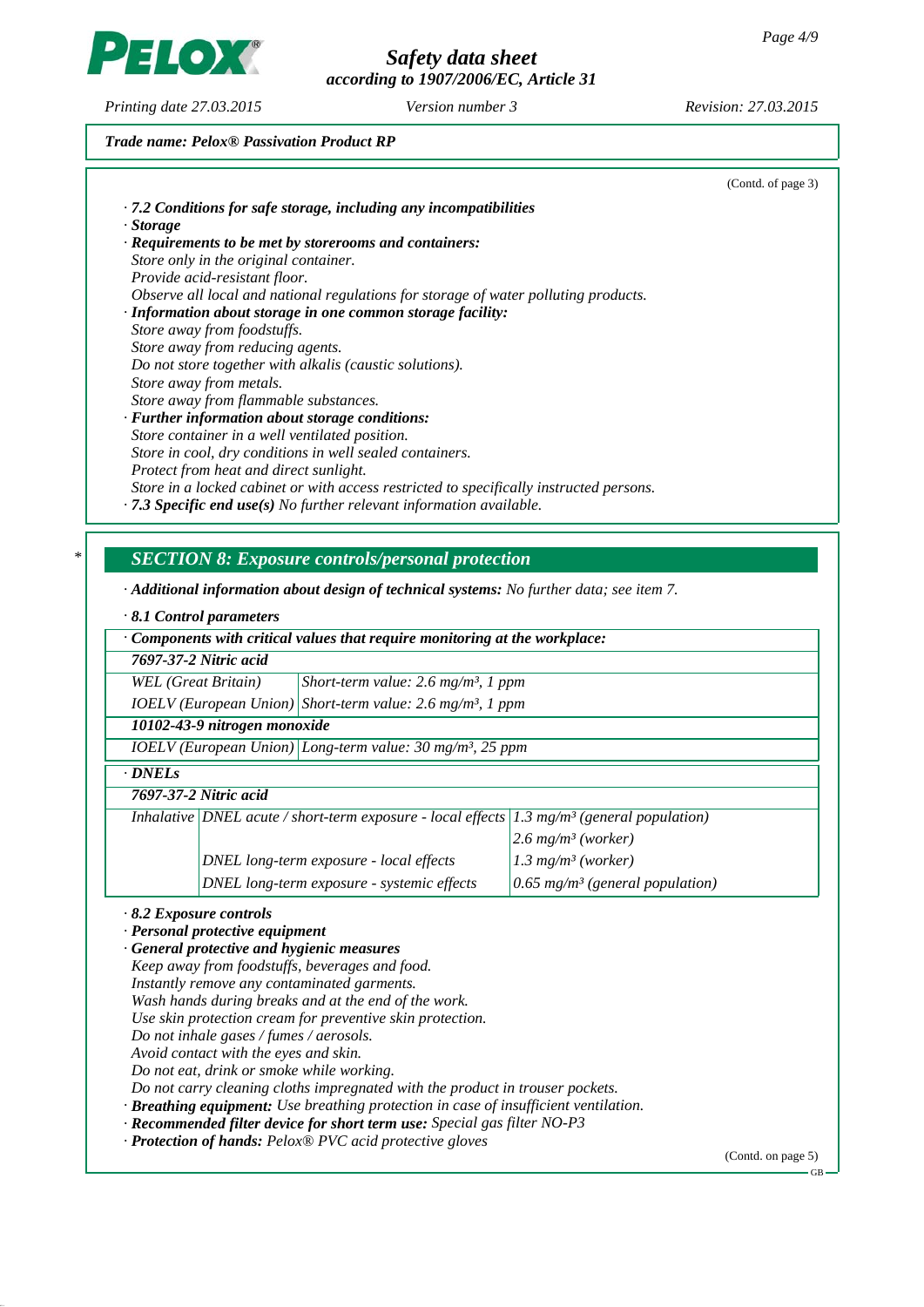*according to 1907/2006/EC, Article 31*

*Printing date 27.03.2015 Revision: 27.03.2015 Version number 3*

PELOX

# *Trade name: Pelox® Passivation Product RP*

|   |                                                                                                                                                    | (Contd. of page 3) |
|---|----------------------------------------------------------------------------------------------------------------------------------------------------|--------------------|
|   | · 7.2 Conditions for safe storage, including any incompatibilities                                                                                 |                    |
|   | · Storage                                                                                                                                          |                    |
|   | · Requirements to be met by storerooms and containers:                                                                                             |                    |
|   | Store only in the original container.                                                                                                              |                    |
|   | Provide acid-resistant floor.                                                                                                                      |                    |
|   | Observe all local and national regulations for storage of water polluting products.<br>· Information about storage in one common storage facility: |                    |
|   | Store away from foodstuffs.                                                                                                                        |                    |
|   | Store away from reducing agents.                                                                                                                   |                    |
|   | Do not store together with alkalis (caustic solutions).                                                                                            |                    |
|   | Store away from metals.                                                                                                                            |                    |
|   | Store away from flammable substances.                                                                                                              |                    |
|   | · Further information about storage conditions:                                                                                                    |                    |
|   | Store container in a well ventilated position.                                                                                                     |                    |
|   | Store in cool, dry conditions in well sealed containers.<br>Protect from heat and direct sunlight.                                                 |                    |
|   | Store in a locked cabinet or with access restricted to specifically instructed persons.                                                            |                    |
|   | $\cdot$ 7.3 Specific end use(s) No further relevant information available.                                                                         |                    |
|   |                                                                                                                                                    |                    |
|   |                                                                                                                                                    |                    |
| ∗ | <b>SECTION 8: Exposure controls/personal protection</b>                                                                                            |                    |
|   |                                                                                                                                                    |                    |
|   | $\cdot$ Additional information about design of technical systems: No further data; see item 7.                                                     |                    |
|   | $\cdot$ 8.1 Control parameters                                                                                                                     |                    |
|   | Components with critical values that require monitoring at the workplace:                                                                          |                    |
|   | 7697-37-2 Nitric acid                                                                                                                              |                    |
|   | <b>WEL</b> (Great Britain)<br>Short-term value: $2.6$ mg/m <sup>3</sup> , 1 ppm                                                                    |                    |
|   | $IOELV$ (European Union) Short-term value: 2.6 mg/m <sup>3</sup> , 1 ppm                                                                           |                    |
|   | 10102-43-9 nitrogen monoxide                                                                                                                       |                    |
|   | $IOELV$ (European Union) Long-term value: 30 mg/m <sup>3</sup> , 25 ppm                                                                            |                    |
|   | · DNELs                                                                                                                                            |                    |
|   | 7697-37-2 Nitric acid                                                                                                                              |                    |
|   |                                                                                                                                                    |                    |
|   | Inhalative DNEL acute / short-term exposure - local effects 1.3 mg/m <sup>3</sup> (general population)                                             |                    |
|   | $2.6$ mg/m <sup>3</sup> (worker)                                                                                                                   |                    |
|   | $1.3$ mg/m <sup>3</sup> (worker)<br>DNEL long-term exposure - local effects                                                                        |                    |
|   | DNEL long-term exposure - systemic effects<br>0.65 mg/m <sup>3</sup> (general population)                                                          |                    |
|   |                                                                                                                                                    |                    |
|   | $\cdot$ 8.2 Exposure controls<br>· Personal protective equipment                                                                                   |                    |
|   | · General protective and hygienic measures                                                                                                         |                    |
|   | Keep away from foodstuffs, beverages and food.                                                                                                     |                    |
|   | Instantly remove any contaminated garments.                                                                                                        |                    |
|   | Wash hands during breaks and at the end of the work.                                                                                               |                    |
|   | Use skin protection cream for preventive skin protection.                                                                                          |                    |
|   | Do not inhale gases / fumes / aerosols.                                                                                                            |                    |
|   | Avoid contact with the eyes and skin.<br>Do not eat, drink or smoke while working.                                                                 |                    |
|   | Do not carry cleaning cloths impregnated with the product in trouser pockets.                                                                      |                    |
|   | · Breathing equipment: Use breathing protection in case of insufficient ventilation.                                                               |                    |
|   | · Recommended filter device for short term use: Special gas filter NO-P3                                                                           |                    |
|   | · Protection of hands: Pelox® PVC acid protective gloves                                                                                           |                    |
|   |                                                                                                                                                    | (Contd. on page 5) |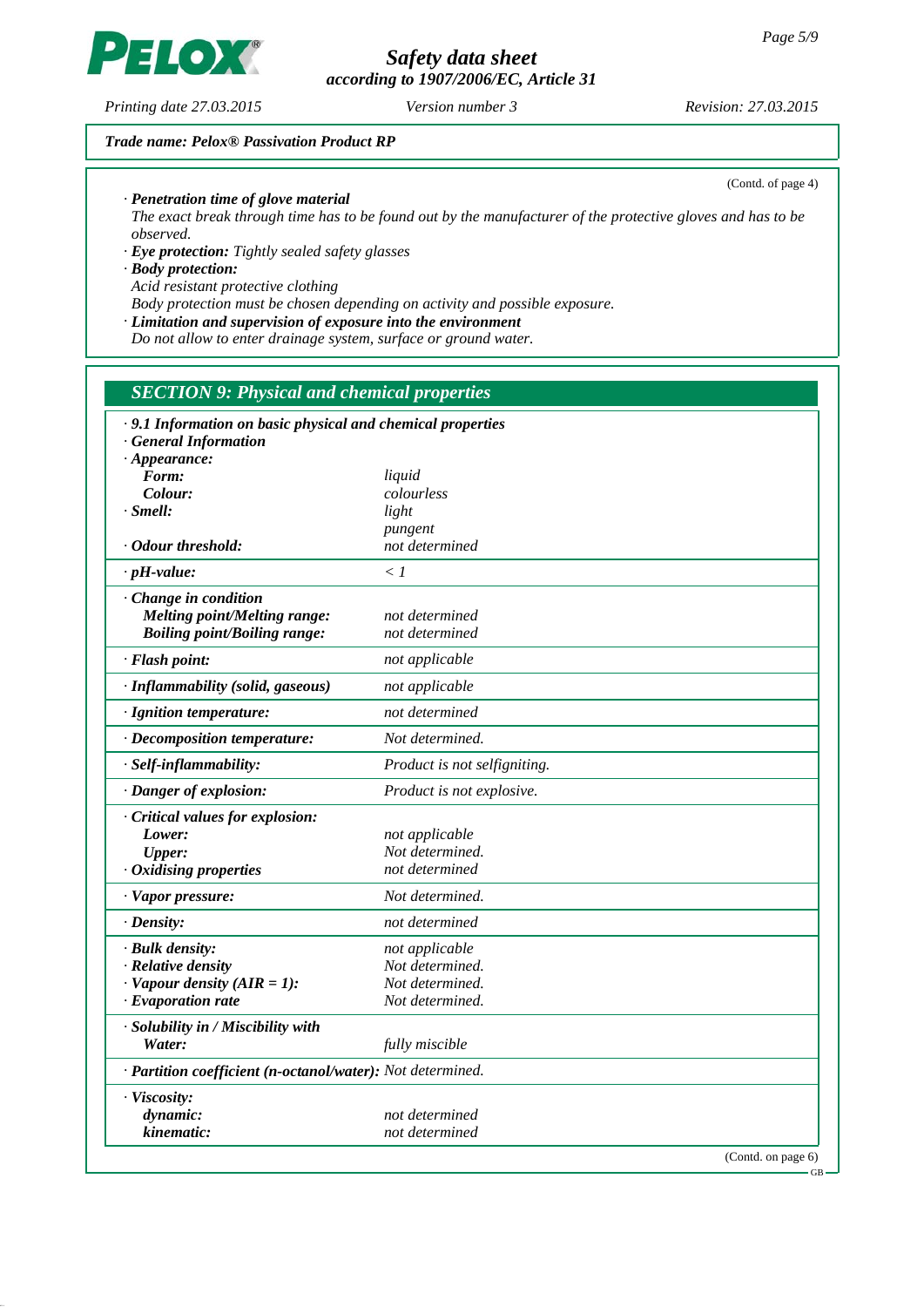*Safety data sheet according to 1907/2006/EC, Article 31*

*Printing date 27.03.2015 Revision: 27.03.2015 Version number 3*

#### *Trade name: Pelox® Passivation Product RP*

*· Penetration time of glove material*

*The exact break through time has to be found out by the manufacturer of the protective gloves and has to be observed.*

*· Eye protection: Tightly sealed safety glasses*

*· Body protection:*

*Acid resistant protective clothing*

*Body protection must be chosen depending on activity and possible exposure.*

*· Limitation and supervision of exposure into the environment*

*Do not allow to enter drainage system, surface or ground water.*

# *SECTION 9: Physical and chemical properties*

| .9.1 Information on basic physical and chemical properties |                              |
|------------------------------------------------------------|------------------------------|
| <b>General Information</b>                                 |                              |
| $\cdot$ Appearance:                                        |                              |
| Form:<br>Colour:                                           | liquid<br>colourless         |
| $\cdot$ Smell:                                             | light                        |
|                                                            | pungent                      |
| · Odour threshold:                                         | not determined               |
| $\cdot$ pH-value:                                          | $\langle l$                  |
| · Change in condition                                      |                              |
| Melting point/Melting range:                               | not determined               |
| <b>Boiling point/Boiling range:</b>                        | not determined               |
| · Flash point:                                             | not applicable               |
| · Inflammability (solid, gaseous)                          | not applicable               |
| · Ignition temperature:                                    | not determined               |
| · Decomposition temperature:                               | Not determined.              |
| · Self-inflammability:                                     | Product is not selfigniting. |
| · Danger of explosion:                                     | Product is not explosive.    |
| Critical values for explosion:                             |                              |
| Lower:                                                     | not applicable               |
| <b>Upper:</b>                                              | Not determined.              |
| Oxidising properties                                       | not determined               |
| · Vapor pressure:                                          | Not determined.              |
| $\cdot$ Density:                                           | not determined               |
| · Bulk density:                                            | not applicable               |
| · Relative density                                         | Not determined.              |
| $\cdot$ Vapour density (AIR = 1):                          | Not determined.              |
| $\cdot$ Evaporation rate                                   | Not determined.              |
| · Solubility in / Miscibility with                         |                              |
| Water:                                                     | fully miscible               |
| · Partition coefficient (n-octanol/water): Not determined. |                              |
| · Viscosity:                                               |                              |
| dynamic:                                                   | not determined               |
| kinematic:                                                 | not determined               |
|                                                            | (Contd. on page 6)           |



(Contd. of page 4)

GB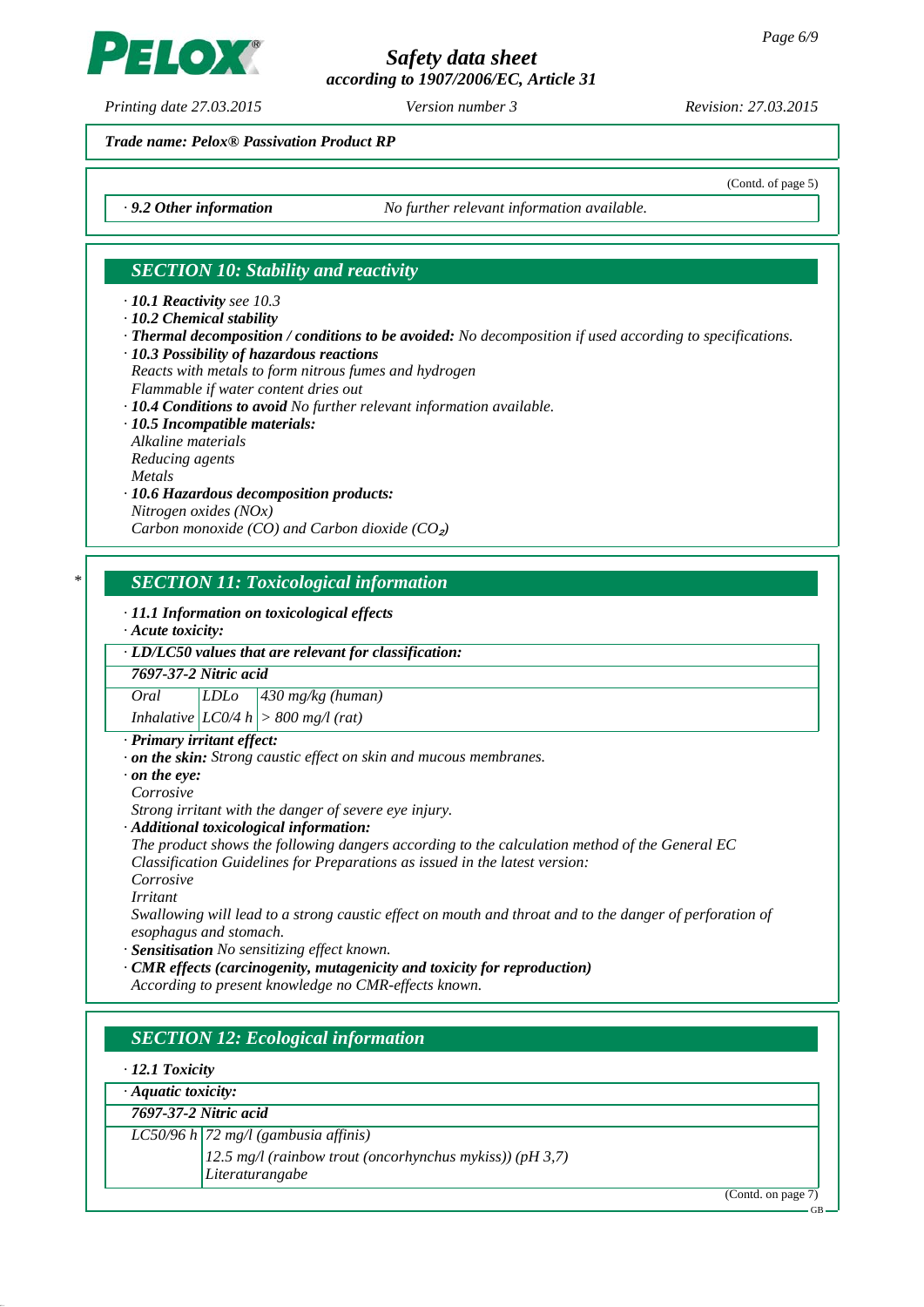*according to 1907/2006/EC, Article 31*

*Printing date 27.03.2015 Revision: 27.03.2015 Version number 3*

LOX

(Contd. of page 5)

### *Trade name: Pelox® Passivation Product RP*

*· 9.2 Other information No further relevant information available.*

# *SECTION 10: Stability and reactivity*

*· 10.1 Reactivity see 10.3*

*· 10.2 Chemical stability*

- *· Thermal decomposition / conditions to be avoided: No decomposition if used according to specifications. · 10.3 Possibility of hazardous reactions*
- *Reacts with metals to form nitrous fumes and hydrogen Flammable if water content dries out*
- *· 10.4 Conditions to avoid No further relevant information available.*
- *· 10.5 Incompatible materials:*
- *Alkaline materials*
- *Reducing agents*
- *Metals*
- *· 10.6 Hazardous decomposition products: Nitrogen oxides (NOx)*

*Carbon monoxide (CO) and Carbon dioxide (CO<sub>2</sub>)* 

## *\* SECTION 11: Toxicological information*

*· 11.1 Information on toxicological effects*

*· Acute toxicity:*

### *· LD/LC50 values that are relevant for classification:*

*7697-37-2 Nitric acid*

*Oral LDLo 430 mg/kg (human)*

*Inhalative LC0/4 h > 800 mg/l (rat)*

# *· Primary irritant effect:*

- *· on the skin: Strong caustic effect on skin and mucous membranes.*
- *· on the eye:*
- *Corrosive*

*Strong irritant with the danger of severe eye injury.*

*· Additional toxicological information:*

*The product shows the following dangers according to the calculation method of the General EC Classification Guidelines for Preparations as issued in the latest version:*

*Corrosive*

*Irritant*

*Swallowing will lead to a strong caustic effect on mouth and throat and to the danger of perforation of esophagus and stomach.*

*· Sensitisation No sensitizing effect known.*

*· CMR effects (carcinogenity, mutagenicity and toxicity for reproduction)*

*According to present knowledge no CMR-effects known.*

# *SECTION 12: Ecological information*

#### *· 12.1 Toxicity*

| · Aquatic toxicity:   |  |
|-----------------------|--|
| 7697-37-2 Nitric acid |  |

# *LC50/96 h 72 mg/l (gambusia affinis)*

*12.5 mg/l (rainbow trout (oncorhynchus mykiss)) (pH 3,7) Literaturangabe*

(Contd. on page 7)

GB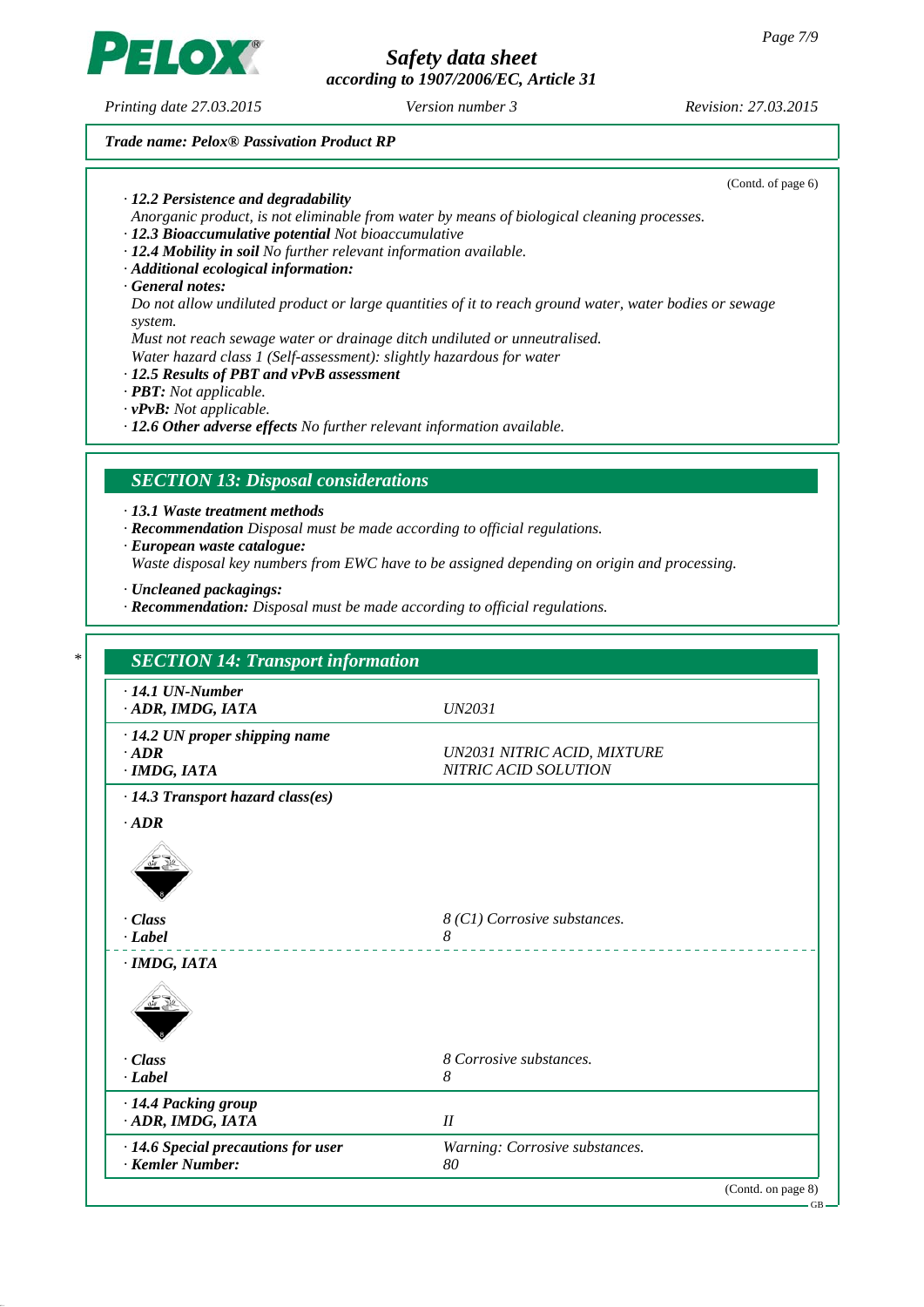*according to 1907/2006/EC, Article 31*

*Printing date 27.03.2015 Revision: 27.03.2015 Version number 3*

 $\left( \bullet \right)$ 

#### *Trade name: Pelox® Passivation Product RP*

(Contd. of page 6) *· 12.2 Persistence and degradability Anorganic product, is not eliminable from water by means of biological cleaning processes. · 12.3 Bioaccumulative potential Not bioaccumulative · 12.4 Mobility in soil No further relevant information available. · Additional ecological information: · General notes: Do not allow undiluted product or large quantities of it to reach ground water, water bodies or sewage system. Must not reach sewage water or drainage ditch undiluted or unneutralised. Water hazard class 1 (Self-assessment): slightly hazardous for water · 12.5 Results of PBT and vPvB assessment · PBT: Not applicable. · vPvB: Not applicable. · 12.6 Other adverse effects No further relevant information available. SECTION 13: Disposal considerations · 13.1 Waste treatment methods · Recommendation Disposal must be made according to official regulations. · European waste catalogue: Waste disposal key numbers from EWC have to be assigned depending on origin and processing. · Uncleaned packagings: · Recommendation: Disposal must be made according to official regulations. \* SECTION 14: Transport information · 14.1 UN-Number · ADR, IMDG, IATA UN2031 · 14.2 UN proper shipping name · ADR UN2031 NITRIC ACID, MIXTURE · IMDG, IATA NITRIC ACID SOLUTION · 14.3 Transport hazard class(es) · ADR · Class 8 (C1) Corrosive substances. · Label 8 · IMDG, IATA · Class 8 Corrosive substances. · Label 8 · 14.4 Packing group · ADR, IMDG, IATA II · 14.6 Special precautions for user Warning: Corrosive substances. · Kemler Number: 80*

(Contd. on page 8)

GB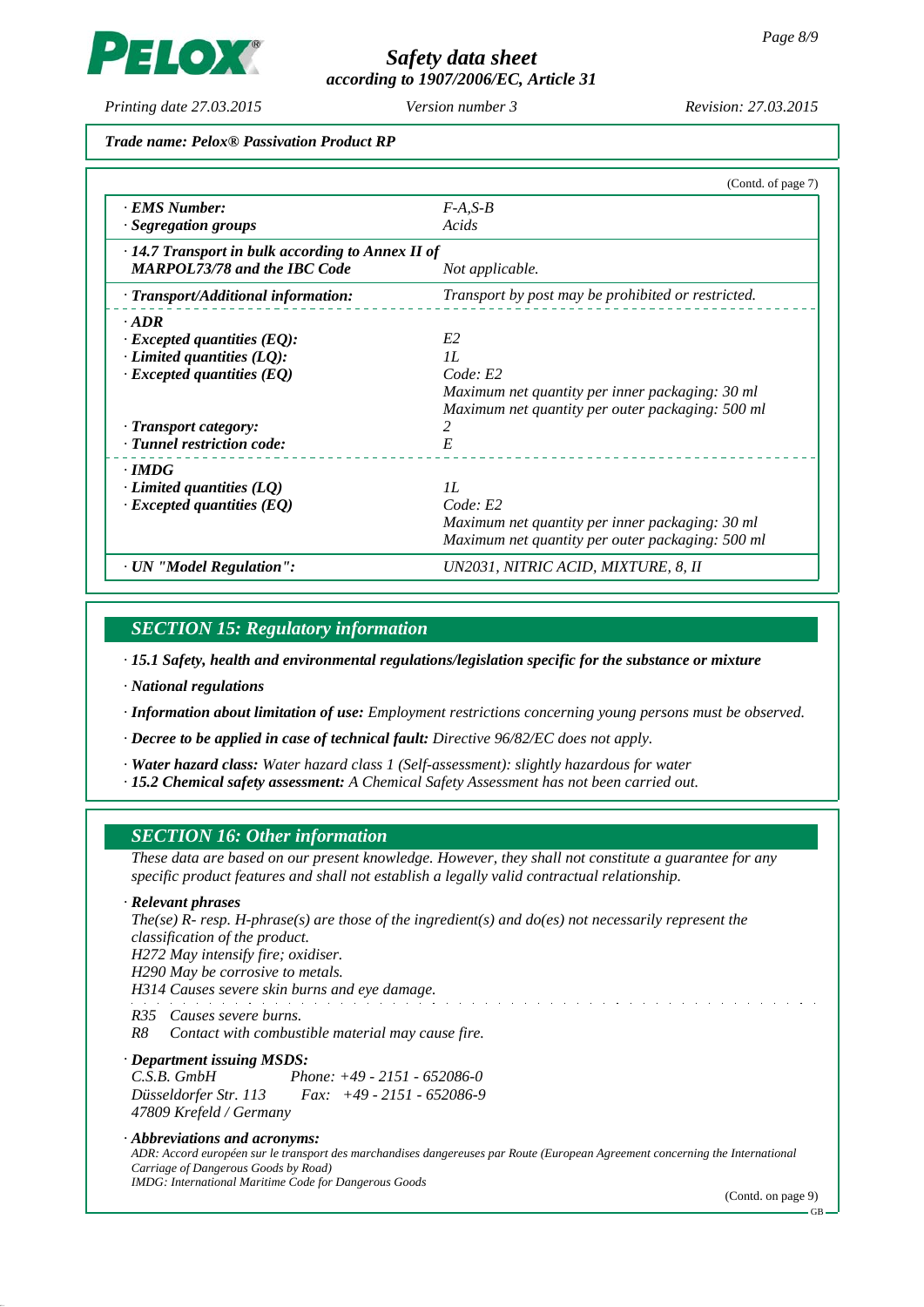**IO)** 

# *Safety data sheet according to 1907/2006/EC, Article 31*

*Printing date 27.03.2015 Revision: 27.03.2015 Version number 3*

#### *Trade name: Pelox® Passivation Product RP*

|                                                         | (Contd. of page 7)                                 |
|---------------------------------------------------------|----------------------------------------------------|
| · EMS Number:                                           | $F-A, S-B$                                         |
| · Segregation groups                                    | Acids                                              |
| $\cdot$ 14.7 Transport in bulk according to Annex II of |                                                    |
| <b>MARPOL73/78 and the IBC Code</b>                     | Not applicable.                                    |
| · Transport/Additional information:                     | Transport by post may be prohibited or restricted. |
| $\cdot$ ADR                                             |                                                    |
| $\cdot$ Excepted quantities (EQ):                       | E <sub>2</sub>                                     |
| $\cdot$ Limited quantities (LQ):                        | II.                                                |
| $\cdot$ Excepted quantities (EQ)                        | Code: E2                                           |
|                                                         | Maximum net quantity per inner packaging: 30 ml    |
|                                                         | Maximum net quantity per outer packaging: 500 ml   |
| · Transport category:                                   | 2                                                  |
| · Tunnel restriction code:                              | E                                                  |
| $\cdot$ IMDG                                            |                                                    |
| $\cdot$ Limited quantities (LQ)                         | II.                                                |
| $\cdot$ Excepted quantities (EQ)                        | Code: E2                                           |
|                                                         | Maximum net quantity per inner packaging: 30 ml    |
|                                                         | Maximum net quantity per outer packaging: 500 ml   |
| · UN "Model Regulation":                                | UN2031, NITRIC ACID, MIXTURE, 8, II                |

# *SECTION 15: Regulatory information*

*· 15.1 Safety, health and environmental regulations/legislation specific for the substance or mixture*

*· National regulations*

*· Information about limitation of use: Employment restrictions concerning young persons must be observed.*

*· Decree to be applied in case of technical fault: Directive 96/82/EC does not apply.*

*· Water hazard class: Water hazard class 1 (Self-assessment): slightly hazardous for water*

*· 15.2 Chemical safety assessment: A Chemical Safety Assessment has not been carried out.*

# *SECTION 16: Other information*

*These data are based on our present knowledge. However, they shall not constitute a guarantee for any specific product features and shall not establish a legally valid contractual relationship.*

*· Relevant phrases*

*The(se) R- resp. H-phrase(s) are those of the ingredient(s) and do(es) not necessarily represent the classification of the product.*

*H272 May intensify fire; oxidiser.*

*H290 May be corrosive to metals.*

*H314 Causes severe skin burns and eye damage.*

*R35 Causes severe burns.*

*R8 Contact with combustible material may cause fire.*

#### *· Department issuing MSDS: C.S.B. GmbH Phone: +49 - 2151 - 652086-0 Düsseldorfer Str. 113 Fax: +49 - 2151 - 652086-9 47809 Krefeld / Germany*

*· Abbreviations and acronyms: ADR: Accord européen sur le transport des marchandises dangereuses par Route (European Agreement concerning the International Carriage of Dangerous Goods by Road) IMDG: International Maritime Code for Dangerous Goods*

(Contd. on page 9)

GB